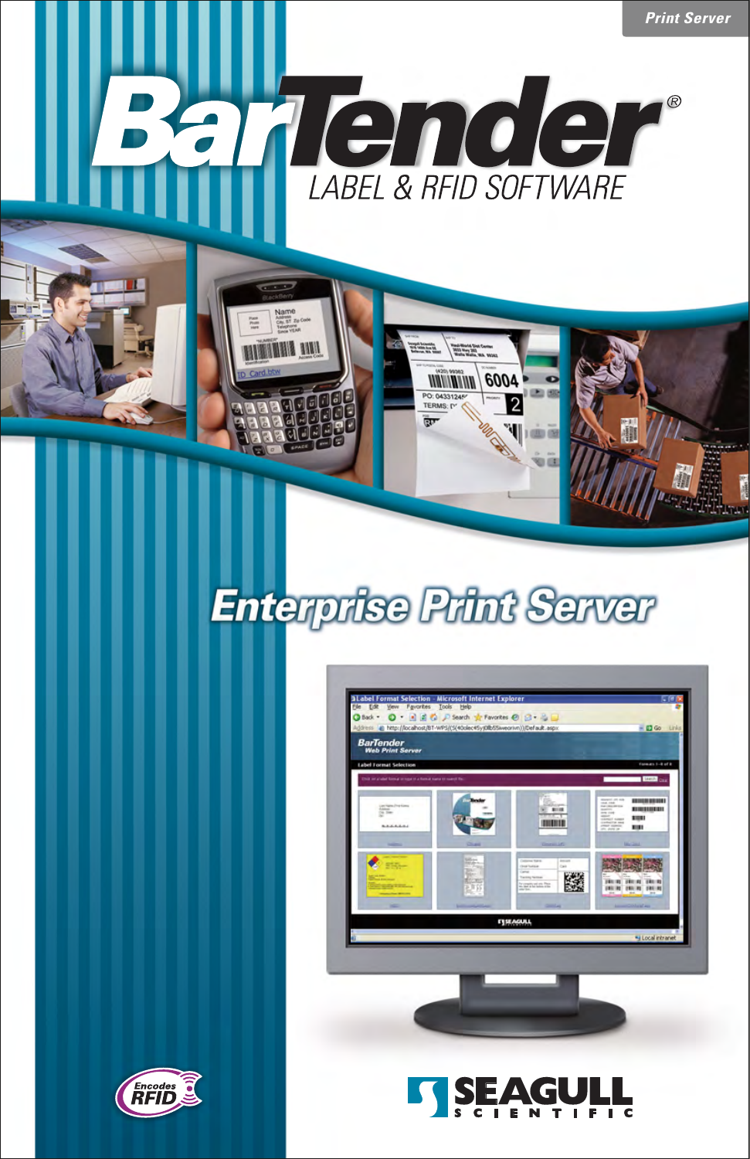

## **Enterprise Print Server**



6004

*MARIANAR* **PO: 04331** 



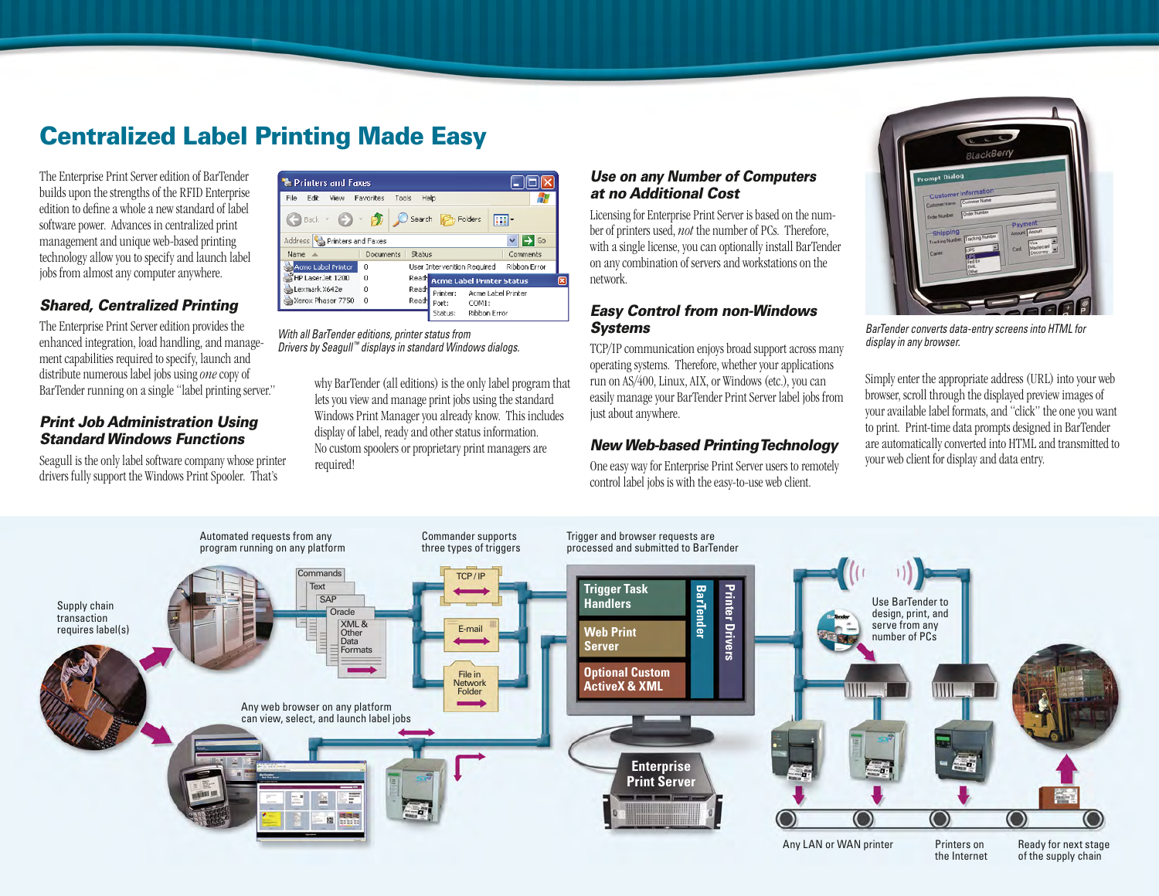### **Centralized Label Printing Made Easy**

The Enterprise Print Server edition of BarTender builds upon the strengths of the RFID Enterprise edition to define a whole a new standard of label software power. Advances in centralized print management and unique web-based printing technology allow you to specify and launch label jobs from almost any computer anywhere.

#### *Shared, Centralized Printing*

The Enterprise Print Server edition provides the enhanced integration, load handling, and management capabilities required to specify, launch and distribute numerous label jobs using *one* copy of BarTender running on a single "label printing server."

#### *Print Job Administration Using Standard Windows Functions*

Seagull is the only label software company whose printer drivers fully support the Windows Print Spooler. That's

| Printers and Faxes            |                    |        |          |                                |              |  |
|-------------------------------|--------------------|--------|----------|--------------------------------|--------------|--|
| File:<br>Fdit<br>View         | Favorites<br>Tools | Help   |          |                                |              |  |
| Back.                         |                    | Search |          | Folders                        |              |  |
| Address<br>Printers and Faxes |                    |        |          |                                | Go           |  |
| Name                          | Documents          | Status |          |                                | Comments     |  |
| Acmo Label Printer            | $\Omega$           |        |          | User Intervention Required     | Ribbon Error |  |
| HP Laser Jet 1200             | $\Omega$           |        |          | Read Acme Label Printer Status |              |  |
| Lexmark X642e                 | Ω                  | Read   | Printer: | Acme Label Printer             |              |  |
| Xerox Phaser 7750             | n                  | Read   | Port:    | COM1:                          |              |  |
|                               |                    |        | Status:  | - Ribbon Error                 |              |  |

*With all BarTender editions, printer status from Drivers by Seagull ™ displays in standard Windows dialogs.*

> why BarTender (all editions) is the only label program that lets you view and manage print jobs using the standard Windows Print Manager you already know. This includes display of label, ready and other status information. No custom spoolers or proprietary print managers are required!

#### *Use on any Number of Computers at no Additional Cost*

Licensing for Enterprise Print Server is based on the number of printers used, *not* the number of PCs. Therefore, with a single license, you can optionally install BarTender on any combination of servers and workstations on the network.

#### *Easy Control from non-Windows Systems*

TCP/IP communication enjoys broad support across many operating systems. Therefore, whether your applications run on AS/400, Linux, AIX, or Windows (etc.), you can easily manage your BarTender Print Server label jobs from just about anywhere.

#### *New Web-based Printing Technology*

One easy way for Enterprise Print Server users to remotely control label jobs is with the easy-to-use web client.



*BarTender converts data-entry screens into HTML for display in any browser.*

Simply enter the appropriate address (URL) into your web browser, scroll through the displayed preview images of your available label formats, and "click" the one you want to print. Print-time data prompts designed in BarTender are automatically converted into HTML and transmitted to your web client for display and data entry.

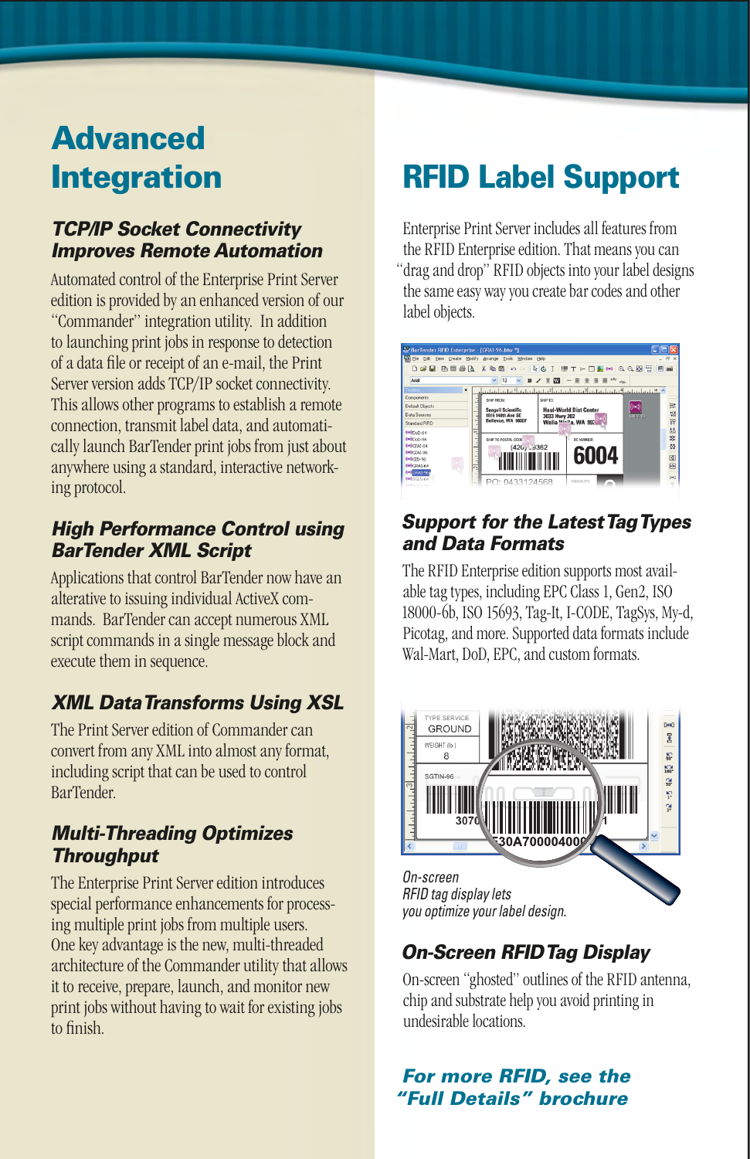# **Advanced**

#### *TCP/IP Socket Connectivity Improves Remote Automation*

Automated control of the Enterprise Print Server edition is provided by an enhanced version of our "Commander" integration utility. In addition to launching print jobs in response to detection of a data file or receipt of an e-mail, the Print Server version adds TCP/IP socket connectivity. This allows other programs to establish a remote connection, transmit label data, and automatically launch BarTender print jobs from just about anywhere using a standard, interactive networking protocol.

#### *High Performance Control using BarTender XML Script*

Applications that control BarTender now have an alterative to issuing individual ActiveX commands. BarTender can accept numerous XML script commands in a single message block and execute them in sequence.

#### *XML Data Transforms Using XSL*

The Print Server edition of Commander can convert from any XML into almost any format, including script that can be used to control BarTender.

#### *Multi-Threading Optimizes Throughput*

The Enterprise Print Server edition introduces special performance enhancements for processing multiple print jobs from multiple users. One key advantage is the new, multi-threaded architecture of the Commander utility that allows it to receive, prepare, launch, and monitor new print jobs without having to wait for existing jobs to finish

## **Integration RFID Label Support**

Enterprise Print Server includes all features from the RFID Enterprise edition. That means you can "drag and drop" RFID objects into your label designs the same easy way you create bar codes and other label objects.



#### *Support for the Latest Tag Types and Data Formats*

The RFID Enterprise edition supports most available tag types, including EPC Class 1, Gen2, ISO 18000-6b, ISO 15693, Tag-It, I-CODE, TagSys, My-d, Picotag, and more. Supported data formats include Wal-Mart, DoD, EPC, and custom formats.



#### *On-Screen RFID Tag Display*

On-screen "ghosted" outlines of the RFID antenna, chip and substrate help you avoid printing in undesirable locations.

#### *For more RFID, see the "Full Details" brochure*